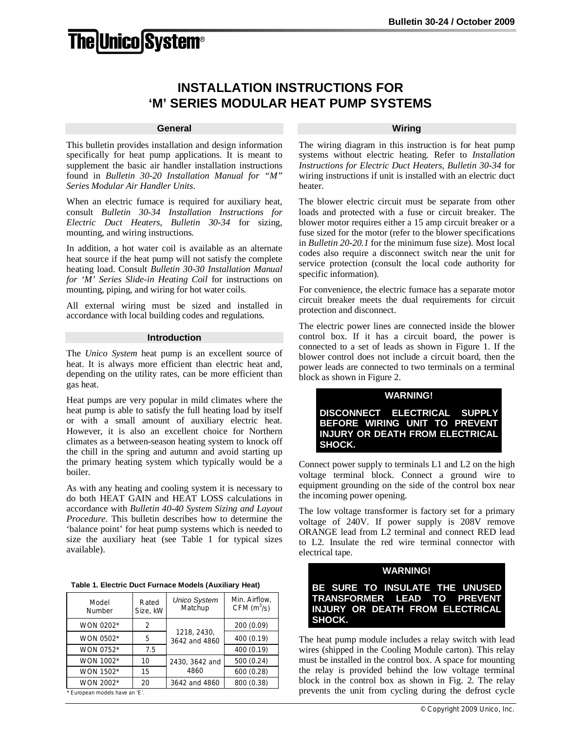# **The|Unico|System®**

# **INSTALLATION INSTRUCTIONS FOR 'M' SERIES MODULAR HEAT PUMP SYSTEMS**

#### **General**

This bulletin provides installation and design information specifically for heat pump applications. It is meant to supplement the basic air handler installation instructions found in *Bulletin 30-20 Installation Manual for "M" Series Modular Air Handler Units*.

When an electric furnace is required for auxiliary heat, consult *Bulletin 30-34 Installation Instructions for Electric Duct Heaters*, *Bulletin 30-34* for sizing, mounting, and wiring instructions.

In addition, a hot water coil is available as an alternate heat source if the heat pump will not satisfy the complete heating load. Consult *Bulletin 30-30 Installation Manual for 'M' Series Slide-in Heating Coil* for instructions on mounting, piping, and wiring for hot water coils.

All external wiring must be sized and installed in accordance with local building codes and regulations.

## **Introduction**

The *Unico System* heat pump is an excellent source of heat. It is always more efficient than electric heat and, depending on the utility rates, can be more efficient than gas heat.

Heat pumps are very popular in mild climates where the heat pump is able to satisfy the full heating load by itself or with a small amount of auxiliary electric heat. However, it is also an excellent choice for Northern climates as a between-season heating system to knock off the chill in the spring and autumn and avoid starting up the primary heating system which typically would be a boiler.

As with any heating and cooling system it is necessary to do both HEAT GAIN and HEAT LOSS calculations in accordance with *Bulletin 40-40 System Sizing and Layout Procedure*. This bulletin describes how to determine the 'balance point' for heat pump systems which is needed to size the auxiliary heat (see Table 1 for typical sizes available).

| Table 1. Electric Duct Furnace Models (Auxiliary Heat) |  |  |  |  |
|--------------------------------------------------------|--|--|--|--|
|--------------------------------------------------------|--|--|--|--|

| Model<br>Number               | Rated<br>Size, kW | <b>Unico System</b><br>Matchup | Min. Airflow,<br>CFM $(m^3/s)$ |
|-------------------------------|-------------------|--------------------------------|--------------------------------|
| WON 0202*                     | 2                 |                                | 200 (0.09)                     |
| WON 0502*                     | 5                 | 1218, 2430,<br>3642 and 4860   | 400 (0.19)                     |
| WON 0752*                     | 7.5               |                                | 400 (0.19)                     |
| WON 1002*                     | 10                | 2430, 3642 and                 | 500 (0.24)                     |
| <b>WON 1502*</b>              | 15                | 4860                           | 600 (0.28)                     |
| WON 2002*                     | 20                | 3642 and 4860                  | 800 (0.38)                     |
| * European models have an 'E' |                   |                                |                                |

\* European models have an 'E'.

# **Wiring**

The wiring diagram in this instruction is for heat pump systems without electric heating. Refer to *Installation Instructions for Electric Duct Heaters*, *Bulletin 30-34* for wiring instructions if unit is installed with an electric duct heater.

The blower electric circuit must be separate from other loads and protected with a fuse or circuit breaker. The blower motor requires either a 15 amp circuit breaker or a fuse sized for the motor (refer to the blower specifications in *Bulletin 20-20.1* for the minimum fuse size). Most local codes also require a disconnect switch near the unit for service protection (consult the local code authority for specific information).

For convenience, the electric furnace has a separate motor circuit breaker meets the dual requirements for circuit protection and disconnect.

The electric power lines are connected inside the blower control box. If it has a circuit board, the power is connected to a set of leads as shown in Figure 1. If the blower control does not include a circuit board, then the power leads are connected to two terminals on a terminal block as shown in Figure 2.

# **WARNING!**

**DISCONNECT ELECTRICAL SUPPLY BEFORE WIRING UNIT TO PREVENT INJURY OR DEATH FROM ELECTRICAL SHOCK.**

Connect power supply to terminals L1 and L2 on the high voltage terminal block. Connect a ground wire to equipment grounding on the side of the control box near the incoming power opening.

The low voltage transformer is factory set for a primary voltage of 240V. If power supply is 208V remove ORANGE lead from L2 terminal and connect RED lead to L2. Insulate the red wire terminal connector with electrical tape.

# **WARNING!**

# **BE SURE TO INSULATE THE UNUSED TRANSFORMER LEAD TO PREVENT INJURY OR DEATH FROM ELECTRICAL SHOCK.**

The heat pump module includes a relay switch with lead wires (shipped in the Cooling Module carton). This relay must be installed in the control box. A space for mounting the relay is provided behind the low voltage terminal block in the control box as shown in Fig. 2. The relay prevents the unit from cycling during the defrost cycle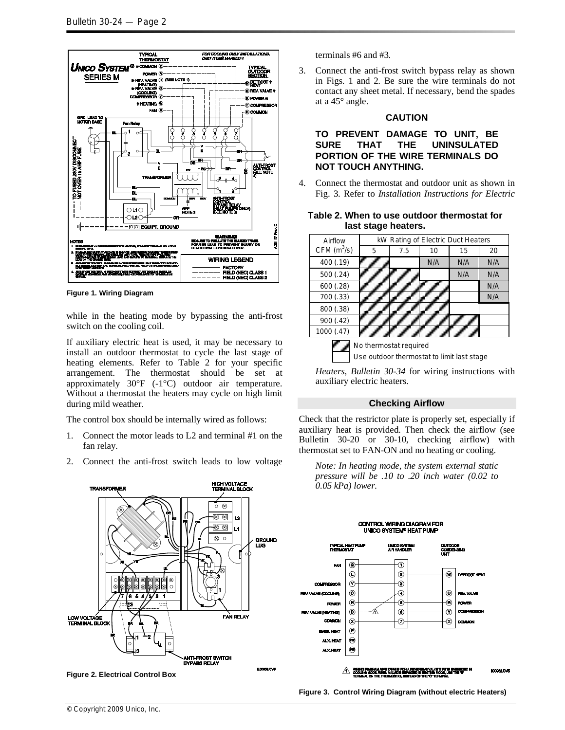

**Figure 1. Wiring Diagram**

while in the heating mode by bypassing the anti-frost switch on the cooling coil.

If auxiliary electric heat is used, it may be necessary to install an outdoor thermostat to cycle the last stage of heating elements. Refer to Table 2 for your specific arrangement. The thermostat should be set at approximately 30°F (-1°C) outdoor air temperature. Without a thermostat the heaters may cycle on high limit during mild weather.

The control box should be internally wired as follows:

- 1. Connect the motor leads to L2 and terminal #1 on the fan relay.
- 2. Connect the anti-frost switch leads to low voltage



**Figure 2. Electrical Control Box**

terminals #6 and #3.

3. Connect the anti-frost switch bypass relay as shown in Figs. 1 and 2. Be sure the wire terminals do not contact any sheet metal. If necessary, bend the spades at a 45° angle.

#### **CAUTION**

**TO PREVENT DAMAGE TO UNIT, BE SURE THAT THE UNINSULATED PORTION OF THE WIRE TERMINALS DO NOT TOUCH ANYTHING.** 

4. Connect the thermostat and outdoor unit as shown in Fig. 3. Refer to *Installation Instructions for Electric* 

#### **Table 2. When to use outdoor thermostat for last stage heaters.**

| Airflow       | kW Rating of Electric Duct Heaters |     |     |     |     |  |  |  |  |  |  |  |  |
|---------------|------------------------------------|-----|-----|-----|-----|--|--|--|--|--|--|--|--|
| CFM $(m^3/s)$ | 5                                  | 7.5 | 10  | 15  | 20  |  |  |  |  |  |  |  |  |
| 400 (.19)     |                                    |     | N/A | N/A | N/A |  |  |  |  |  |  |  |  |
| 500 (.24)     |                                    |     |     | N/A | N/A |  |  |  |  |  |  |  |  |
| 600 (.28)     |                                    |     |     |     | N/A |  |  |  |  |  |  |  |  |
| 700 (.33)     |                                    |     |     |     | N/A |  |  |  |  |  |  |  |  |
| 800 (.38)     |                                    |     |     |     |     |  |  |  |  |  |  |  |  |
| 900 (.42)     |                                    |     |     |     |     |  |  |  |  |  |  |  |  |
| 1000 (.47)    |                                    |     |     |     |     |  |  |  |  |  |  |  |  |
|               | No thermostat required             |     |     |     |     |  |  |  |  |  |  |  |  |

Use outdoor thermostat to limit last stage

*Heaters*, *Bulletin 30-34* for wiring instructions with auxiliary electric heaters.

## **Checking Airflow**

Check that the restrictor plate is properly set, especially if auxiliary heat is provided. Then check the airflow (see Bulletin 30-20 or 30-10, checking airflow) with thermostat set to FAN-ON and no heating or cooling.

*Note: In heating mode, the system external static pressure will be .10 to .20 inch water (0.02 to 0.05 kPa) lower.* 



**Figure 3. Control Wiring Diagram (without electric Heaters)**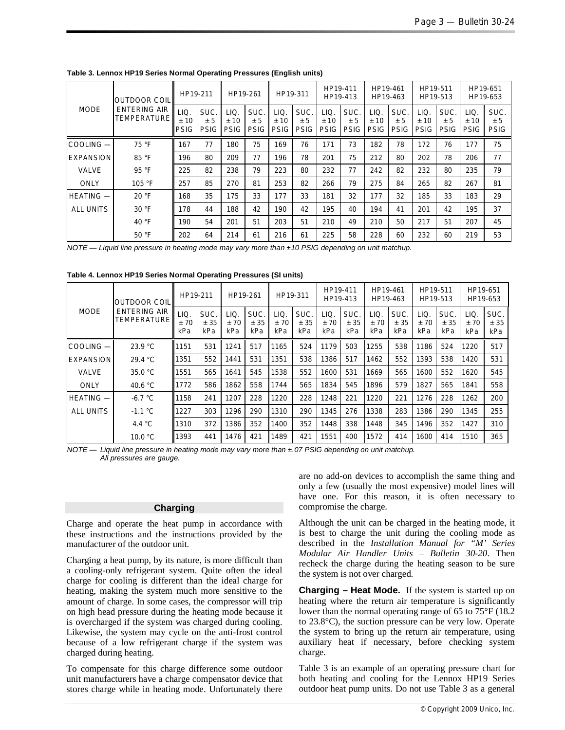| <b>OUTDOOR COILI</b><br><b>MODE</b><br><b>ENTERING AIR</b><br><b>TEMPERATURE</b> |                             | HP19-211                   |                             | HP19-261                   |                            | HP19-311                   |                            | HP19-411<br>HP19-413       |                             | HP19-461<br>HP19-463       |                            | HP19-511<br>HP19-513       |                            | HP19-651<br>HP19-653       |    |
|----------------------------------------------------------------------------------|-----------------------------|----------------------------|-----------------------------|----------------------------|----------------------------|----------------------------|----------------------------|----------------------------|-----------------------------|----------------------------|----------------------------|----------------------------|----------------------------|----------------------------|----|
|                                                                                  | LIQ.<br>± 10<br><b>PSIG</b> | SUC.<br>± 5<br><b>PSIG</b> | LIQ.<br>± 10<br><b>PSIG</b> | SUC.<br>± 5<br><b>PSIG</b> | LIQ.<br>±10<br><b>PSIG</b> | SUC.<br>± 5<br><b>PSIG</b> | LIQ.<br>±10<br><b>PSIG</b> | SUC.<br>± 5<br><b>PSIG</b> | LIQ.<br>± 10<br><b>PSIG</b> | SUC.<br>± 5<br><b>PSIG</b> | LIQ.<br>±10<br><b>PSIG</b> | SUC.<br>± 5<br><b>PSIG</b> | LIQ.<br>±10<br><b>PSIG</b> | SUC.<br>± 5<br><b>PSIG</b> |    |
| COOLING-                                                                         | 75 °F                       | 167                        | 77                          | 180                        | 75                         | 169                        | 76                         | 171                        | 73                          | 182                        | 78                         | 172                        | 76                         | 177                        | 75 |
| <b>EXPANSION</b>                                                                 | 85 °F                       | 196                        | 80                          | 209                        | 77                         | 196                        | 78                         | 201                        | 75                          | 212                        | 80                         | 202                        | 78                         | 206                        | 77 |
| <b>VALVE</b>                                                                     | 95 °F                       | 225                        | 82                          | 238                        | 79                         | 223                        | 80                         | 232                        | 77                          | 242                        | 82                         | 232                        | 80                         | 235                        | 79 |
| ONLY                                                                             | 105 °F                      | 257                        | 85                          | 270                        | 81                         | 253                        | 82                         | 266                        | 79                          | 275                        | 84                         | 265                        | 82                         | 267                        | 81 |
| <b>HEATING —</b>                                                                 | 20 °F                       | 168                        | 35                          | 175                        | 33                         | 177                        | 33                         | 181                        | 32                          | 177                        | 32                         | 185                        | 33                         | 183                        | 29 |
| <b>ALL UNITS</b>                                                                 | 30 °F                       | 178                        | 44                          | 188                        | 42                         | 190                        | 42                         | 195                        | 40                          | 194                        | 41                         | 201                        | 42                         | 195                        | 37 |
|                                                                                  | 40 $\degree$ F              | 190                        | 54                          | 201                        | 51                         | 203                        | 51                         | 210                        | 49                          | 210                        | 50                         | 217                        | 51                         | 207                        | 45 |
|                                                                                  | 50 °F                       | 202                        | 64                          | 214                        | 61                         | 216                        | 61                         | 225                        | 58                          | 228                        | 60                         | 232                        | 60                         | 219                        | 53 |

**Table 3. Lennox HP19 Series Normal Operating Pressures (English units)**

*NOTE — Liquid line pressure in heating mode may vary more than ±10 PSIG depending on unit matchup.*

| <b>OUTDOOR COIL</b><br><b>MODE</b><br><b>ENTERING AIR</b><br>TEMPERATURE |                    | HP19-211            |                    | HP19-261            |                    | HP19-311            |                    | HP19-411<br>HP19-413 |                   | HP19-461<br>HP19-463 |                    | HP19-511<br>HP19-513 |                    | HP19-651<br>HP19-653 |     |
|--------------------------------------------------------------------------|--------------------|---------------------|--------------------|---------------------|--------------------|---------------------|--------------------|----------------------|-------------------|----------------------|--------------------|----------------------|--------------------|----------------------|-----|
|                                                                          | LIQ.<br>±70<br>kPa | SUC.<br>± 35<br>kPa | LIQ.<br>±70<br>kPa | SUC.<br>± 35<br>kPa | LIQ.<br>±70<br>kPa | SUC.<br>± 35<br>kPa | LIQ.<br>±70<br>kPa | SUC.<br>± 35<br>kPa  | LIQ<br>±70<br>kPa | SUC.<br>± 35<br>kPa  | LIQ.<br>±70<br>kPa | SUC.<br>± 35<br>kPa  | LIQ.<br>±70<br>kPa | SUC.<br>± 35<br>kPa  |     |
| COOLING-                                                                 | 23.9 °C            | 1151                | 531                | 1241                | 517                | 1165                | 524                | 1179                 | 503               | 1255                 | 538                | 1186                 | 524                | 1220                 | 517 |
| <b>EXPANSION</b>                                                         | 29.4 °C            | 1351                | 552                | 1441                | 531                | 1351                | 538                | 1386                 | 517               | 1462                 | 552                | 1393                 | 538                | 1420                 | 531 |
| <b>VALVE</b>                                                             | 35.0 °C            | 1551                | 565                | 1641                | 545                | 1538                | 552                | 1600                 | 531               | 1669                 | 565                | 1600                 | 552                | 1620                 | 545 |
| <b>ONLY</b>                                                              | 40.6 $\degree$ C   | 1772                | 586                | 1862                | 558                | 1744                | 565                | 1834                 | 545               | 1896                 | 579                | 1827                 | 565                | 1841                 | 558 |
| HEATING -                                                                | $-6.7 °C$          | 1158                | 241                | 1207                | 228                | 1220                | 228                | 1248                 | 221               | 1220                 | 221                | 1276                 | 228                | 1262                 | 200 |
| <b>ALL UNITS</b>                                                         | $-1.1 °C$          | 1227                | 303                | 1296                | 290                | 1310                | 290                | 1345                 | 276               | 1338                 | 283                | 1386                 | 290                | 1345                 | 255 |
|                                                                          | 4.4 $\degree$ C    | 1310                | 372                | 1386                | 352                | 1400                | 352                | 1448                 | 338               | 1448                 | 345                | 1496                 | 352                | 1427                 | 310 |
|                                                                          | 10.0 °C            | 1393                | 441                | 1476                | 421                | 1489                | 421                | 1551                 | 400               | 1572                 | 414                | 1600                 | 414                | 1510                 | 365 |

*NOTE — Liquid line pressure in heating mode may vary more than ±.07 PSIG depending on unit matchup. All pressures are gauge.* 

#### **Charging**

Charge and operate the heat pump in accordance with these instructions and the instructions provided by the manufacturer of the outdoor unit.

Charging a heat pump, by its nature, is more difficult than a cooling-only refrigerant system. Quite often the ideal charge for cooling is different than the ideal charge for heating, making the system much more sensitive to the amount of charge. In some cases, the compressor will trip on high head pressure during the heating mode because it is overcharged if the system was charged during cooling. Likewise, the system may cycle on the anti-frost control because of a low refrigerant charge if the system was charged during heating.

To compensate for this charge difference some outdoor unit manufacturers have a charge compensator device that stores charge while in heating mode. Unfortunately there

are no add-on devices to accomplish the same thing and only a few (usually the most expensive) model lines will have one. For this reason, it is often necessary to compromise the charge.

Although the unit can be charged in the heating mode, it is best to charge the unit during the cooling mode as described in the *Installation Manual for "M' Series Modular Air Handler Units – Bulletin 30-20*. Then recheck the charge during the heating season to be sure the system is not over charged.

**Charging – Heat Mode.** If the system is started up on heating where the return air temperature is significantly lower than the normal operating range of 65 to 75°F (18.2 to 23.8°C), the suction pressure can be very low. Operate the system to bring up the return air temperature, using auxiliary heat if necessary, before checking system charge.

Table 3 is an example of an operating pressure chart for both heating and cooling for the Lennox HP19 Series outdoor heat pump units. Do not use Table 3 as a general